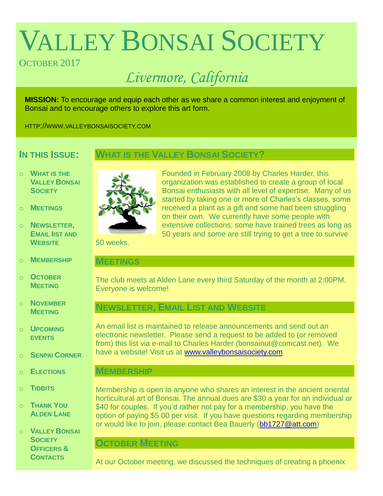# VALLEY BONSAI SOCIETY

# OCTOBER 2017

# *Livermore, California*

**MISSION:** To encourage and equip each other as we share a common interest and enjoyment of Bonsai and to encourage others to explore this art form.

HTTP://WWW.VALLEYBONSAISOCIETY.COM

# **IN THIS ISSUE:**

# **WHAT IS THE VALLEY BONSAI SOCIETY?**

- o **WHAT IS THE VALLEY BONSAI SOCIETY**
- o **MEETINGS**
- o **NEWSLETTER, EMAIL IIST AND WEBSITE**
- o **MEMBERSHIP**
- o **OCTOBER MEETING**
- o **NOVEMBER MEETING**
- o **UPCOMING EVENTS**
- o **SENPAI CORNER**
- o **ELECTIONS**
- o **TIDBITS**
- o **THANK YOU ALDEN LANE**
- o **VALLEY BONSAI SOCIETY OFFICERS & CONTACTS**



Founded in February 2008 by Charles Harder, this organization was established to create a group of local Bonsai enthusiasts with all level of expertise. Many of us started by taking one or more of Charles's classes, some received a plant as a gift and some had been struggling on their own. We currently have some people with extensive collections; some have trained trees as long as 50 years and some are still trying to get a tree to survive

50 weeks.

#### **MEETINGS**

The club meets at Alden Lane every third Saturday of the month at 2:00PM. Everyone is welcome!

# **NEWSLETTER, EMAIL LIST AND WEBSITE**

An email list is maintained to release announcements and send out an electronic newsletter. Please send a request to be added to (or removed from) this list via e-mail to Charles Harder (bonsainut@comcast.net). We have a website! Visit us at [www.valleybonsaisociety.com](http://www.valleybonsaisociety.com/)

#### **MEMBERSHIP**

Membership is open to anyone who shares an interest in the ancient oriental horticultural art of Bonsai. The annual dues are \$30 a year for an individual or \$40 for couples. If you'd rather not pay for a membership, you have the option of paying \$5.00 per visit. If you have questions regarding membership or would like to join, please contact Bea Bauerly [\(bb1727@att.com\)](mailto:bb1727@att.com)

### **OCTOBER MEETING**

At our October meeting, we discussed the techniques of creating a phoenix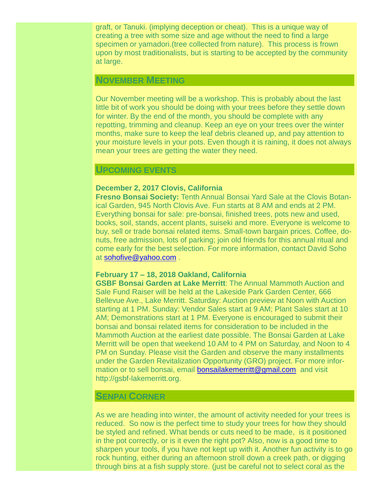graft, or Tanuki. (implying deception or cheat). This is a unique way of creating a tree with some size and age without the need to find a large specimen or yamadori.(tree collected from nature). This process is frown upon by most traditionalists, but is starting to be accepted by the community at large.

#### **NOVEMBER MEETING**

Our November meeting will be a workshop. This is probably about the last little bit of work you should be doing with your trees before they settle down for winter. By the end of the month, you should be complete with any repotting, trimming and cleanup. Keep an eye on your trees over the winter months, make sure to keep the leaf debris cleaned up, and pay attention to your moisture levels in your pots. Even though it is raining, it does not always mean your trees are getting the water they need.

#### **UPCOMING EVENTS**

#### **December 2, 2017 Clovis, California**

**Fresno Bonsai Society:** Tenth Annual Bonsai Yard Sale at the Clovis Botanical Garden, 945 North Clovis Ave. Fun starts at 8 AM and ends at 2 PM. Everything bonsai for sale: pre-bonsai, finished trees, pots new and used, books, soil, stands, accent plants, suiseki and more. Everyone is welcome to buy, sell or trade bonsai related items. Small-town bargain prices. Coffee, donuts, free admission, lots of parking; join old friends for this annual ritual and come early for the best selection. For more information, contact David Soho at [sohofive@yahoo.com](mailto:sohofive@yahoo.com) .

#### **February 17 – 18, 2018 Oakland, California**

**GSBF Bonsai Garden at Lake Merritt**: The Annual Mammoth Auction and Sale Fund Raiser will be held at the Lakeside Park Garden Center, 666 Bellevue Ave., Lake Merritt. Saturday: Auction preview at Noon with Auction starting at 1 PM. Sunday: Vendor Sales start at 9 AM; Plant Sales start at 10 AM; Demonstrations start at 1 PM. Everyone is encouraged to submit their bonsai and bonsai related items for consideration to be included in the Mammoth Auction at the earliest date possible. The Bonsai Garden at Lake Merritt will be open that weekend 10 AM to 4 PM on Saturday, and Noon to 4 PM on Sunday. Please visit the Garden and observe the many installments under the Garden Revitalization Opportunity (GRO) project. For more information or to sell bonsai, email [bonsailakemerritt@gmail.com](mailto:bonsailakemerritt@gmail.com) and visit [http://gsbf-lakemerritt.org.](http://gsbf-lakemerritt.org./)

#### **SENPAI CORNER**

As we are heading into winter, the amount of activity needed for your trees is reduced. So now is the perfect time to study your trees for how they should be styled and refined. What bends or cuts need to be made, is it positioned in the pot correctly, or is it even the right pot? Also, now is a good time to sharpen your tools, if you have not kept up with it. Another fun activity is to go rock hunting, either during an afternoon stroll down a creek path, or digging through bins at a fish supply store. (just be careful not to select coral as the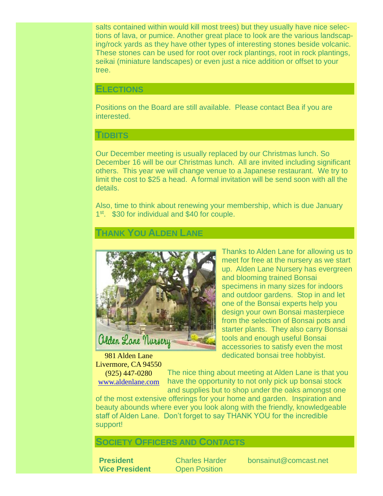salts contained within would kill most trees) but they usually have nice selections of lava, or pumice. Another great place to look are the various landscaping/rock yards as they have other types of interesting stones beside volcanic. These stones can be used for root over rock plantings, root in rock plantings, seikai (miniature landscapes) or even just a nice addition or offset to your tree.

#### **ELECTIONS**

Positions on the Board are still available. Please contact Bea if you are interested.

#### **TIDBITS**

Our December meeting is usually replaced by our Christmas lunch. So December 16 will be our Christmas lunch. All are invited including significant others. This year we will change venue to a Japanese restaurant. We try to limit the cost to \$25 a head. A formal invitation will be send soon with all the details.

Also, time to think about renewing your membership, which is due January 1<sup>st</sup>. \$30 for individual and \$40 for couple.

#### **THANK YOU ALDEN LANE**



981 Alden Lane Livermore, CA 94550

(925) 447-0280 [www.aldenlane.com](http://www.aldenlane.com/) Thanks to Alden Lane for allowing us to meet for free at the nursery as we start up. Alden Lane Nursery has evergreen and blooming trained Bonsai specimens in many sizes for indoors and outdoor gardens. Stop in and let one of the Bonsai experts help you design your own Bonsai masterpiece from the selection of Bonsai pots and starter plants. They also carry Bonsai tools and enough useful Bonsai accessories to satisfy even the most dedicated bonsai tree hobbyist.

The nice thing about meeting at Alden Lane is that you have the opportunity to not only pick up bonsai stock and supplies but to shop under the oaks amongst one

of the most extensive offerings for your home and garden. Inspiration and beauty abounds where ever you look along with the friendly, knowledgeable staff of Alden Lane. Don't forget to say THANK YOU for the incredible support!

## **SOCIETY OFFICERS AND CONTACTS**

**Vice President** Open Position

**President** Charles Harder bonsainut@comcast.net